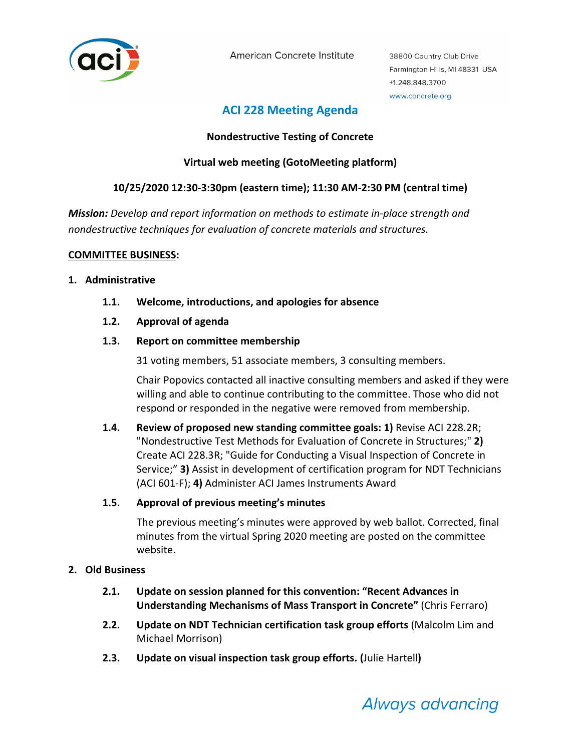

American Concrete Institute

38800 Country Club Drive Farmington Hills, MI 48331 USA +1.248.848.3700 www.concrete.org

# **ACI 228 Meeting Agenda**

# **Nondestructive Testing of Concrete**

# **Virtual web meeting (GotoMeeting platform)**

# **10/25/2020 12:30‐3:30pm (eastern time); 11:30 AM‐2:30 PM (central time)**

*Mission: Develop and report information on methods to estimate in‐place strength and nondestructive techniques for evaluation of concrete materials and structures.*

#### **COMMITTEE BUSINESS:**

#### **1. Administrative**

- **1.1. Welcome, introductions, and apologies for absence**
- **1.2. Approval of agenda**

# **1.3. Report on committee membership**

31 voting members, 51 associate members, 3 consulting members.

Chair Popovics contacted all inactive consulting members and asked if they were willing and able to continue contributing to the committee. Those who did not respond or responded in the negative were removed from membership.

**1.4. Review of proposed new standing committee goals: 1)** Revise ACI 228.2R; "Nondestructive Test Methods for Evaluation of Concrete in Structures;" **2)** Create ACI 228.3R; "Guide for Conducting a Visual Inspection of Concrete in Service;" **3)** Assist in development of certification program for NDT Technicians (ACI 601‐F); **4)** Administer ACI James Instruments Award

# **1.5. Approval of previous meeting's minutes**

The previous meeting's minutes were approved by web ballot. Corrected, final minutes from the virtual Spring 2020 meeting are posted on the committee website.

# **2. Old Business**

- **2.1. Update on session planned for this convention: "Recent Advances in Understanding Mechanisms of Mass Transport in Concrete"** (Chris Ferraro)
- **2.2. Update on NDT Technician certification task group efforts** (Malcolm Lim and Michael Morrison)
- **2.3. Update on visual inspection task group efforts. (**Julie Hartell**)**